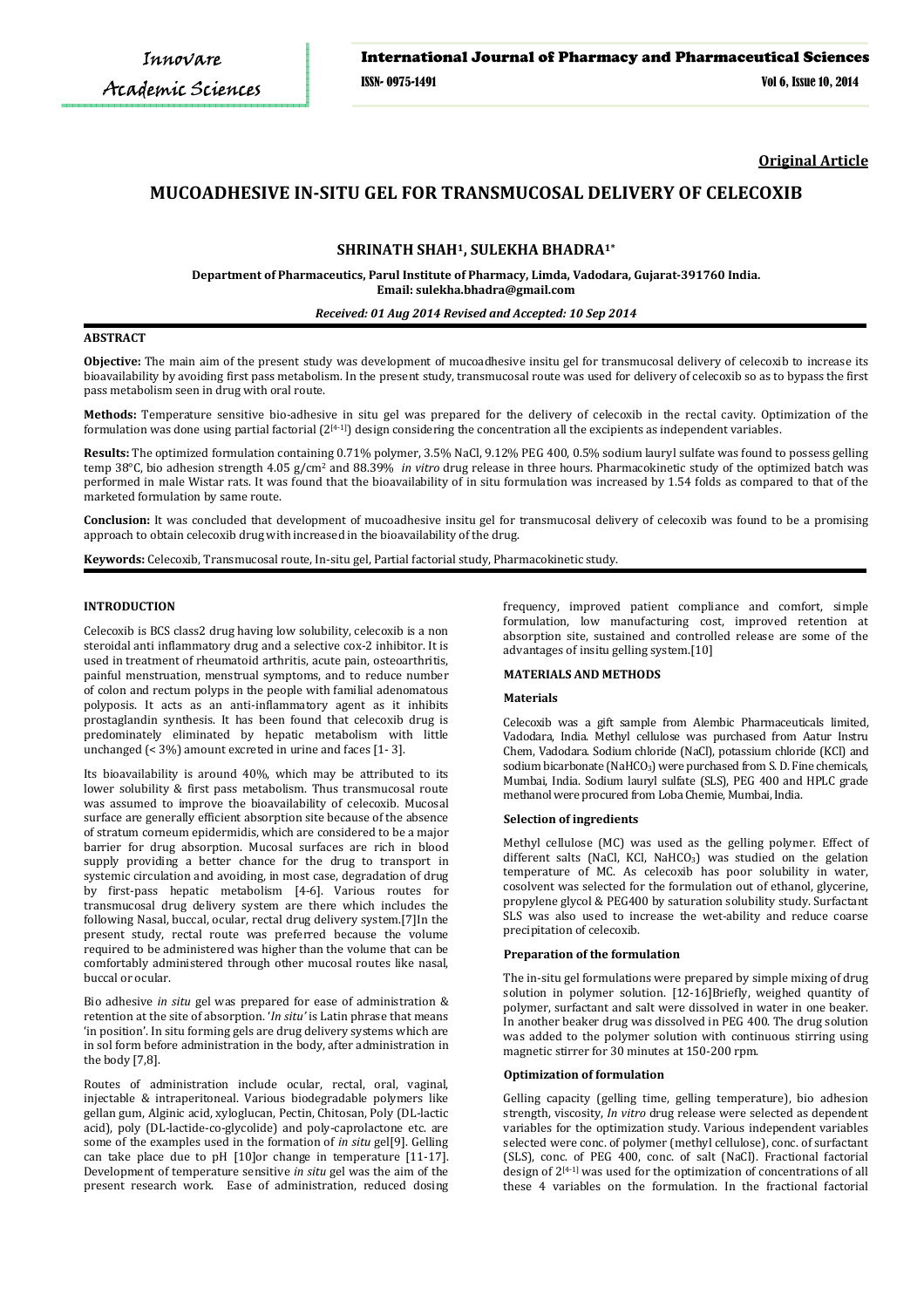**Original Article**

# **MUCOADHESIVE IN-SITU GEL FOR TRANSMUCOSAL DELIVERY OF CELECOXIB**

## **SHRINATH SHAH1, SULEKHA BHADRA1\***

**Department of Pharmaceutics, Parul Institute of Pharmacy, Limda, Vadodara, Gujarat-391760 India. Email: sulekha.bhadra@gmail.com**

## *Received: 01 Aug 2014 Revised and Accepted: 10 Sep 2014*

## **ABSTRACT**

**Objective:** The main aim of the present study was development of mucoadhesive insitu gel for transmucosal delivery of celecoxib to increase its bioavailability by avoiding first pass metabolism. In the present study, transmucosal route was used for delivery of celecoxib so as to bypass the first pass metabolism seen in drug with oral route.

**Methods:** Temperature sensitive bio-adhesive in situ gel was prepared for the delivery of celecoxib in the rectal cavity. Optimization of the formulation was done using partial factorial  $(2^{[4-1]})$  design considering the concentration all the excipients as independent variables.

**Results:** The optimized formulation containing 0.71% polymer, 3.5% NaCl, 9.12% PEG 400, 0.5% sodium lauryl sulfate was found to possess gelling temp 38°C, bio adhesion strength 4.05 g/cm2 and 88.39% *in vitro* drug release in three hours. Pharmacokinetic study of the optimized batch was performed in male Wistar rats. It was found that the bioavailability of in situ formulation was increased by 1.54 folds as compared to that of the marketed formulation by same route.

**Conclusion:** It was concluded that development of mucoadhesive insitu gel for transmucosal delivery of celecoxib was found to be a promising approach to obtain celecoxib drug with increased in the bioavailability of the drug.

**Keywords:** Celecoxib, Transmucosal route, In-situ gel, Partial factorial study, Pharmacokinetic study.

## **INTRODUCTION**

Celecoxib is BCS class2 drug having low solubility, celecoxib is a non steroidal anti inflammatory drug and a selective cox-2 inhibitor. It is used in treatment of rheumatoid arthritis, acute pain, osteoarthritis, painful menstruation, menstrual symptoms, and to reduce number of colon and rectum polyps in the people with familial adenomatous polyposis. It acts as an anti-inflammatory agent as it inhibits prostaglandin synthesis. It has been found that celecoxib drug is predominately eliminated by hepatic metabolism with little unchanged (< 3%) amount excreted in urine and faces [1- 3].

Its bioavailability is around 40%, which may be attributed to its lower solubility & first pass metabolism. Thus transmucosal route was assumed to improve the bioavailability of celecoxib. Mucosal surface are generally efficient absorption site because of the absence of stratum corneum epidermidis, which are considered to be a major barrier for drug absorption. Mucosal surfaces are rich in blood supply providing a better chance for the drug to transport in systemic circulation and avoiding, in most case, degradation of drug by first-pass hepatic metabolism [4-6]. Various routes for transmucosal drug delivery system are there which includes the following Nasal, buccal, ocular, rectal drug delivery system.[7]In the present study, rectal route was preferred because the volume required to be administered was higher than the volume that can be comfortably administered through other mucosal routes like nasal, buccal or ocular.

Bio adhesive *in situ* gel was prepared for ease of administration & retention at the site of absorption. '*In situ'* is Latin phrase that means 'in position'. In situ forming gels are drug delivery systems which are in sol form before administration in the body, after administration in the body [7,8].

Routes of administration include ocular, rectal, oral, vaginal, injectable & intraperitoneal. Various biodegradable polymers like gellan gum, Alginic acid, xyloglucan, Pectin, Chitosan, Poly (DL-lactic acid), poly (DL-lactide-co-glycolide) and poly-caprolactone etc. are some of the examples used in the formation of *in situ* gel[9]. Gelling can take place due to pH [10]or change in temperature [11-17]. Development of temperature sensitive *in situ* gel was the aim of the present research work. Ease of administration, reduced dosing

frequency, improved patient compliance and comfort, simple formulation, low manufacturing cost, improved retention at absorption site, sustained and controlled release are some of the advantages of insitu gelling system.[10]

## **MATERIALS AND METHODS**

## **Materials**

Celecoxib was a gift sample from Alembic Pharmaceuticals limited, Vadodara, India. Methyl cellulose was purchased from Aatur Instru Chem, Vadodara. Sodium chloride (NaCl), potassium chloride (KCl) and sodium bicarbonate (NaHCO<sub>3</sub>) were purchased from S. D. Fine chemicals, Mumbai, India. Sodium lauryl sulfate (SLS), PEG 400 and HPLC grade methanol were procured from Loba Chemie, Mumbai, India.

#### **Selection of ingredients**

Methyl cellulose (MC) was used as the gelling polymer. Effect of different salts (NaCl, KCl, NaHCO<sub>3</sub>) was studied on the gelation temperature of MC. As celecoxib has poor solubility in water, cosolvent was selected for the formulation out of ethanol, glycerine, propylene glycol & PEG400 by saturation solubility study. Surfactant SLS was also used to increase the wet-ability and reduce coarse precipitation of celecoxib.

### **Preparation of the formulation**

The in-situ gel formulations were prepared by simple mixing of drug solution in polymer solution. [12-16]Briefly, weighed quantity of polymer, surfactant and salt were dissolved in water in one beaker. In another beaker drug was dissolved in PEG 400. The drug solution was added to the polymer solution with continuous stirring using magnetic stirrer for 30 minutes at 150-200 rpm.

## **Optimization of formulation**

Gelling capacity (gelling time, gelling temperature), bio adhesion strength, viscosity, *In vitro* drug release were selected as dependent variables for the optimization study. Various independent variables selected were conc. of polymer (methyl cellulose), conc. of surfactant (SLS), conc. of PEG 400, conc. of salt (NaCl). Fractional factorial design of 2<sup>[4-1]</sup> was used for the optimization of concentrations of all these 4 variables on the formulation. In the fractional factorial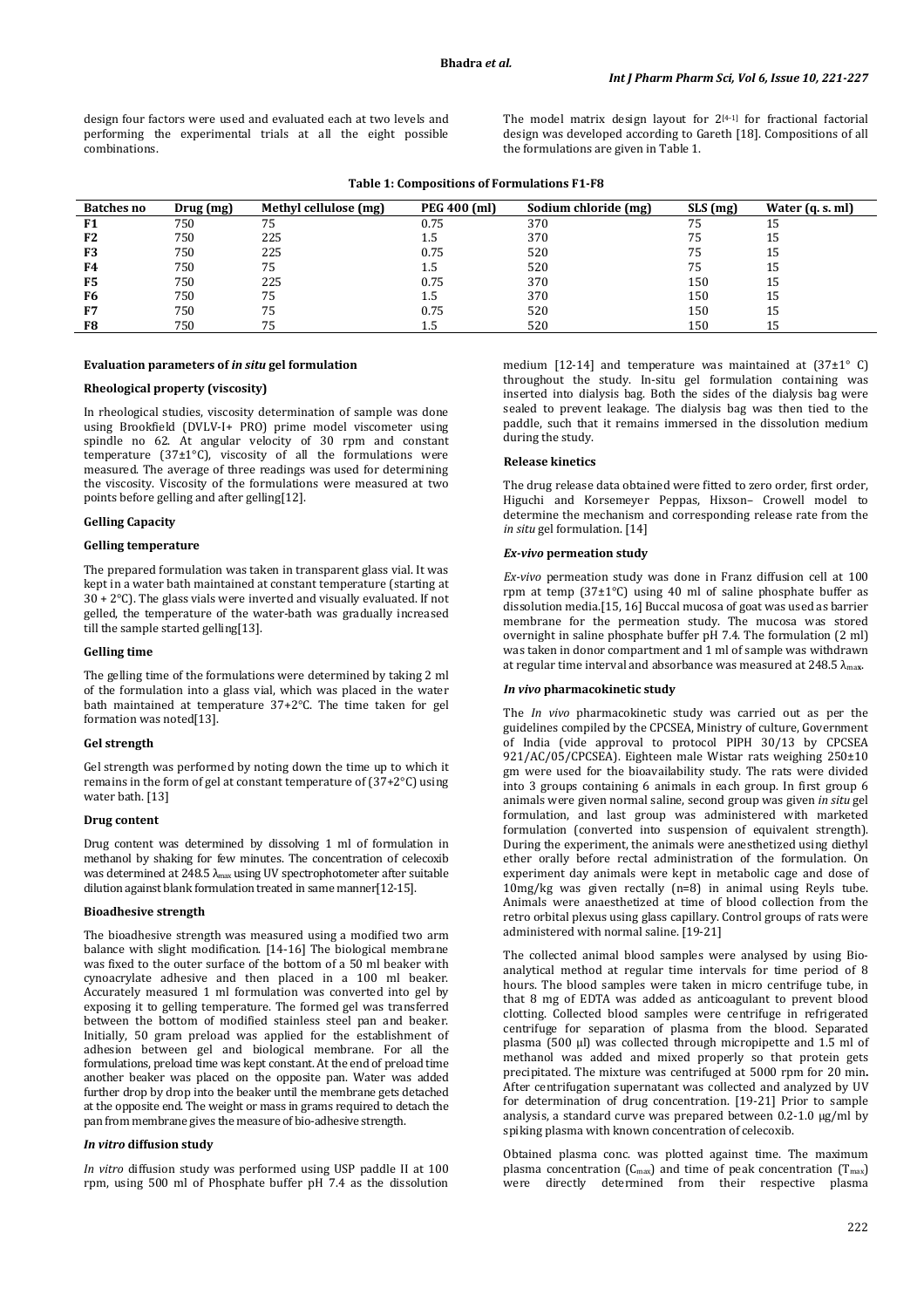design four factors were used and evaluated each at two levels and performing the experimental trials at all the eight possible combinations.

The model matrix design layout for  $2^{[4-1]}$  for fractional factorial design was developed according to Gareth [18]. Compositions of all the formulations are given in Table 1.

**Table 1: Compositions of Formulations F1-F8** 

| <b>Batches no</b> | Drug (mg) | Methyl cellulose (mg) | PEG 400 (ml) | Sodium chloride (mg) | $SLS$ (mg) | Water (q. s. ml) |
|-------------------|-----------|-----------------------|--------------|----------------------|------------|------------------|
| F <sub>1</sub>    | 750       | 75                    | 0.75         | 370                  | 75         | 15               |
| F <sub>2</sub>    | 750       | 225                   | 1.5          | 370                  | 75         | 15               |
| F3                | 750       | 225                   | 0.75         | 520                  | 75         | 15               |
| F4                | 750       | 75                    | 1.5          | 520                  | 75         | 15               |
| F5                | 750       | 225                   | 0.75         | 370                  | 150        | 15               |
| F6                | 750       | 75                    | 1.5          | 370                  | 150        | 15               |
| F7                | 750       | 75                    | 0.75         | 520                  | 150        | 15               |
| F <sub>8</sub>    | 750       | 75                    | L.5          | 520                  | 150        | 15               |

## **Evaluation parameters of** *in situ* **gel formulation**

## **Rheological property (viscosity)**

In rheological studies, viscosity determination of sample was done using Brookfield (DVLV-I+ PRO) prime model viscometer using spindle no 62. At angular velocity of 30 rpm and constant temperature (37±1°C), viscosity of all the formulations were measured. The average of three readings was used for determining the viscosity. Viscosity of the formulations were measured at two points before gelling and after gelling[12].

### **Gelling Capacity**

## **Gelling temperature**

The prepared formulation was taken in transparent glass vial. It was kept in a water bath maintained at constant temperature (starting at  $30 + 2$ °C). The glass vials were inverted and visually evaluated. If not gelled, the temperature of the water-bath was gradually increased till the sample started gelling[13].

## **Gelling time**

The gelling time of the formulations were determined by taking 2 ml of the formulation into a glass vial, which was placed in the water bath maintained at temperature 37+2°C. The time taken for gel formation was noted[13].

#### **Gel strength**

Gel strength was performed by noting down the time up to which it remains in the form of gel at constant temperature of (37+2°C) using water bath. [13]

## **Drug content**

Drug content was determined by dissolving 1 ml of formulation in methanol by shaking for few minutes. The concentration of celecoxib was determined at  $248.5 \lambda_{\text{max}}$  using UV spectrophotometer after suitable dilution against blank formulation treated in same manner[12-15].

### **Bioadhesive strength**

The bioadhesive strength was measured using a modified two arm balance with slight modification. [14-16] The biological membrane was fixed to the outer surface of the bottom of a 50 ml beaker with cynoacrylate adhesive and then placed in a 100 ml beaker. Accurately measured 1 ml formulation was converted into gel by exposing it to gelling temperature. The formed gel was transferred between the bottom of modified stainless steel pan and beaker. Initially, 50 gram preload was applied for the establishment of adhesion between gel and biological membrane. For all the formulations, preload time was kept constant. At the end of preload time another beaker was placed on the opposite pan. Water was added further drop by drop into the beaker until the membrane gets detached at the opposite end. The weight or mass in grams required to detach the pan from membrane gives the measure of bio-adhesive strength.

### *In vitro* **diffusion study**

*In vitro* diffusion study was performed using USP paddle II at 100 rpm, using 500 ml of Phosphate buffer pH 7.4 as the dissolution medium [12-14] and temperature was maintained at (37±1° C) throughout the study. In-situ gel formulation containing was inserted into dialysis bag. Both the sides of the dialysis bag were sealed to prevent leakage. The dialysis bag was then tied to the paddle, such that it remains immersed in the dissolution medium during the study.

## **Release kinetics**

The drug release data obtained were fitted to zero order, first order, Higuchi and Korsemeyer Peppas, Hixson– Crowell model to determine the mechanism and corresponding release rate from the *in situ* gel formulation. [14]

### *Ex-vivo* **permeation study**

*Ex-vivo* permeation study was done in Franz diffusion cell at 100 rpm at temp (37±1°C) using 40 ml of saline phosphate buffer as dissolution media.[15, 16] Buccal mucosa of goat was used as barrier membrane for the permeation study. The mucosa was stored overnight in saline phosphate buffer pH 7.4. The formulation (2 ml) was taken in donor compartment and 1 ml of sample was withdrawn at regular time interval and absorbance was measured at 248.5 λma**x**.

### *In vivo* **pharmacokinetic study**

The *In vivo* pharmacokinetic study was carried out as per the guidelines compiled by the CPCSEA, Ministry of culture, Government of India (vide approval to protocol PIPH 30/13 by CPCSEA 921/AC/05/CPCSEA). Eighteen male Wistar rats weighing 250±10 gm were used for the bioavailability study. The rats were divided into 3 groups containing 6 animals in each group. In first group 6 animals were given normal saline, second group was given *in situ* gel formulation, and last group was administered with marketed formulation (converted into suspension of equivalent strength). During the experiment, the animals were anesthetized using diethyl ether orally before rectal administration of the formulation. On experiment day animals were kept in metabolic cage and dose of 10mg/kg was given rectally (n=8) in animal using Reyls tube. Animals were anaesthetized at time of blood collection from the retro orbital plexus using glass capillary. Control groups of rats were administered with normal saline. [19-21]

The collected animal blood samples were analysed by using Bioanalytical method at regular time intervals for time period of 8 hours. The blood samples were taken in micro centrifuge tube, in that 8 mg of EDTA was added as anticoagulant to prevent blood clotting. Collected blood samples were centrifuge in refrigerated centrifuge for separation of plasma from the blood. Separated plasma (500 µl) was collected through micropipette and 1.5 ml of methanol was added and mixed properly so that protein gets precipitated. The mixture was centrifuged at 5000 rpm for 20 min**.**  After centrifugation supernatant was collected and analyzed by UV for determination of drug concentration. [19-21] Prior to sample analysis, a standard curve was prepared between 0.2-1.0 µg/ml by spiking plasma with known concentration of celecoxib.

Obtained plasma conc. was plotted against time. The maximum plasma concentration  $(C_{\text{max}})$  and time of peak concentration  $(T_{\text{max}})$ were directly determined from their respective plasma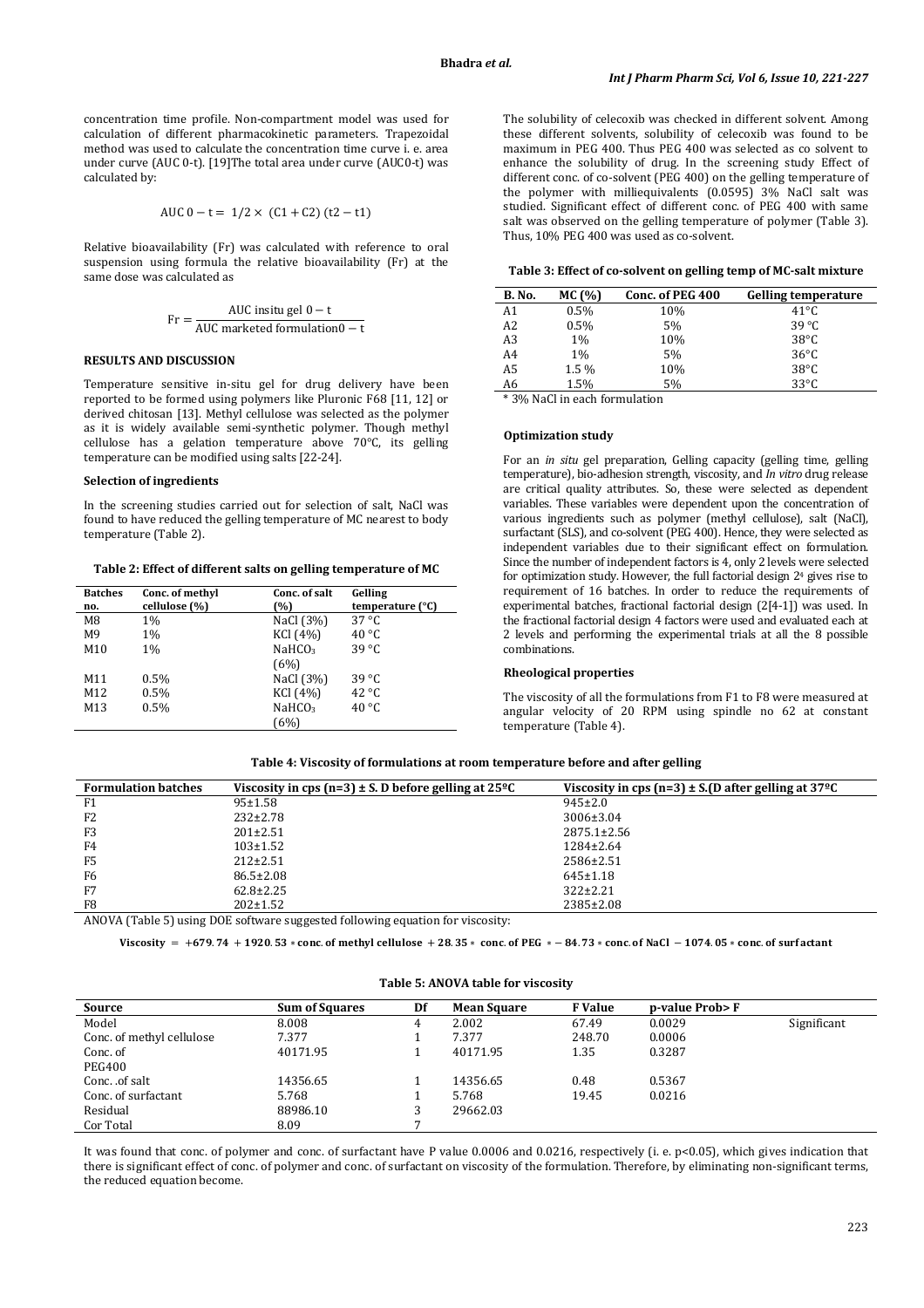concentration time profile. Non-compartment model was used for calculation of different pharmacokinetic parameters. Trapezoidal method was used to calculate the concentration time curve i. e. area under curve (AUC 0-t). [19]The total area under curve (AUC0-t) was calculated by:

AUC 
$$
0 - t = 1/2 \times (C1 + C2) (t2 - t1)
$$

Relative bioavailability (Fr) was calculated with reference to oral suspension using formula the relative bioavailability (Fr) at the same dose was calculated as

$$
Fr = \frac{AUC \text{ inside } 0 - t}{AUC \text{ marked formulation}} - t
$$

#### **RESULTS AND DISCUSSION**

Temperature sensitive in-situ gel for drug delivery have been reported to be formed using polymers like Pluronic F68 [11, 12] or derived chitosan [13]. Methyl cellulose was selected as the polymer as it is widely available semi-synthetic polymer. Though methyl cellulose has a gelation temperature above 70°C, its gelling temperature can be modified using salts [22-24].

### **Selection of ingredients**

In the screening studies carried out for selection of salt, NaCl was found to have reduced the gelling temperature of MC nearest to body temperature (Table 2).

**Table 2: Effect of different salts on gelling temperature of MC** 

| <b>Batches</b> | Conc. of methyl | Conc. of salt      | Gelling          |
|----------------|-----------------|--------------------|------------------|
| no.            | cellulose (%)   | (%)                | temperature (°C) |
| M8             | $1\%$           | NaCl (3%)          | $37^{\circ}$ C   |
| M9             | $1\%$           | KCI (4%)           | $40^{\circ}$ C   |
| M10            | $1\%$           | NaHCO <sub>3</sub> | $39^{\circ}$ C   |
|                |                 | (6%)               |                  |
| M11            | $0.5\%$         | NaCl (3%)          | $39^{\circ}$ C   |
| M12            | $0.5\%$         | KCI (4%)           | $42^{\circ}C$    |
| M13            | $0.5\%$         | NaHCO <sub>3</sub> | $40^{\circ}$ C   |
|                |                 | (6%)               |                  |

The solubility of celecoxib was checked in different solvent. Among these different solvents, solubility of celecoxib was found to be maximum in PEG 400. Thus PEG 400 was selected as co solvent to enhance the solubility of drug. In the screening study Effect of different conc. of co-solvent (PEG 400) on the gelling temperature of the polymer with milliequivalents (0.0595) 3% NaCl salt was studied. Significant effect of different conc. of PEG 400 with same salt was observed on the gelling temperature of polymer (Table 3). Thus, 10% PEG 400 was used as co-solvent.

#### **Table 3: Effect of co-solvent on gelling temp of MC-salt mixture**

| B. No.         | MC (%)  | Conc. of PEG 400 | <b>Gelling temperature</b> |
|----------------|---------|------------------|----------------------------|
| A1             | 0.5%    | 10%              | $41^{\circ}C$              |
| A <sub>2</sub> | 0.5%    | 5%               | $39^{\circ}$ C             |
| A3             | 1%      | 10%              | $38^{\circ}$ C             |
| A <sub>4</sub> | $1\%$   | 5%               | $36^{\circ}$ C             |
| A5             | $1.5\%$ | 10%              | $38^{\circ}$ C             |
| A6             | 1.5%    | 5%               | $33^{\circ}$ C             |

\* 3% NaCl in each formulation

### **Optimization study**

For an *in situ* gel preparation, Gelling capacity (gelling time, gelling temperature), bio-adhesion strength, viscosity, and *In vitro* drug release are critical quality attributes. So, these were selected as dependent variables. These variables were dependent upon the concentration of various ingredients such as polymer (methyl cellulose), salt (NaCl), surfactant (SLS), and co-solvent (PEG 400). Hence, they were selected as independent variables due to their significant effect on formulation. Since the number of independent factors is 4, only 2 levels were selected for optimization study. However, the full factorial design 24 gives rise to requirement of 16 batches. In order to reduce the requirements of experimental batches, fractional factorial design (2[4-1]) was used. In the fractional factorial design 4 factors were used and evaluated each at 2 levels and performing the experimental trials at all the 8 possible combinations.

## **Rheological properties**

The viscosity of all the formulations from F1 to F8 were measured at angular velocity of 20 RPM using spindle no 62 at constant temperature (Table 4).

|  | Table 4: Viscosity of formulations at room temperature before and after gelling |
|--|---------------------------------------------------------------------------------|
|--|---------------------------------------------------------------------------------|

| <b>Formulation batches</b> | Viscosity in cps (n=3) $\pm$ S. D before gelling at 25 <sup>o</sup> C         | Viscosity in cps (n=3) $\pm$ S.(D after gelling at 37 <sup>o</sup> C |
|----------------------------|-------------------------------------------------------------------------------|----------------------------------------------------------------------|
| F1                         | 95±1.58                                                                       | $945 \pm 2.0$                                                        |
| F <sub>2</sub>             | $232 \pm 2.78$                                                                | $3006 \pm 3.04$                                                      |
| F3                         | $201 \pm 2.51$                                                                | $2875.1 \pm 2.56$                                                    |
| F4                         | $103 \pm 1.52$                                                                | $1284 \pm 2.64$                                                      |
| F <sub>5</sub>             | $212 \pm 2.51$                                                                | 2586±2.51                                                            |
| F6                         | $86.5 \pm 2.08$                                                               | $645 \pm 1.18$                                                       |
| F7                         | $62.8 \pm 2.25$                                                               | $322 \pm 2.21$                                                       |
| F8                         | $202 \pm 1.52$                                                                | 2385±2.08                                                            |
|                            | ANOVA (Table 5) using DOE software suggested following equation for viscosity |                                                                      |

ANOVA (Table 5) using DOE software suggested following equation for viscosity:

Viscosity  $\,=\, +$ 679.74  $\,+\,$  1920.53  $\ast$  conc. of methyl cellulose  $\,+\,28.35\,*$  conc. of PEG  $\, *\, -$  84.73  $\ast$  conc. of NaCl  $\,-$  1074.05  $\ast$  conc. of surfactant

| Source                    | <b>Sum of Squares</b> | Df | <b>Mean Square</b> | <b>F</b> Value | p-value Prob> F |             |
|---------------------------|-----------------------|----|--------------------|----------------|-----------------|-------------|
| Model                     | 8.008                 | 4  | 2.002              | 67.49          | 0.0029          | Significant |
| Conc. of methyl cellulose | 7.377                 |    | 7.377              | 248.70         | 0.0006          |             |
| Conc. of                  | 40171.95              |    | 40171.95           | 1.35           | 0.3287          |             |
| <b>PEG400</b>             |                       |    |                    |                |                 |             |
| Conc. .of salt            | 14356.65              |    | 14356.65           | 0.48           | 0.5367          |             |
| Conc. of surfactant       | 5.768                 |    | 5.768              | 19.45          | 0.0216          |             |
| Residual                  | 88986.10              |    | 29662.03           |                |                 |             |
| Cor Total                 | 8.09                  |    |                    |                |                 |             |

It was found that conc. of polymer and conc. of surfactant have P value 0.0006 and 0.0216, respectively (i. e. p<0.05), which gives indication that there is significant effect of conc. of polymer and conc. of surfactant on viscosity of the formulation. Therefore, by eliminating non-significant terms, the reduced equation become.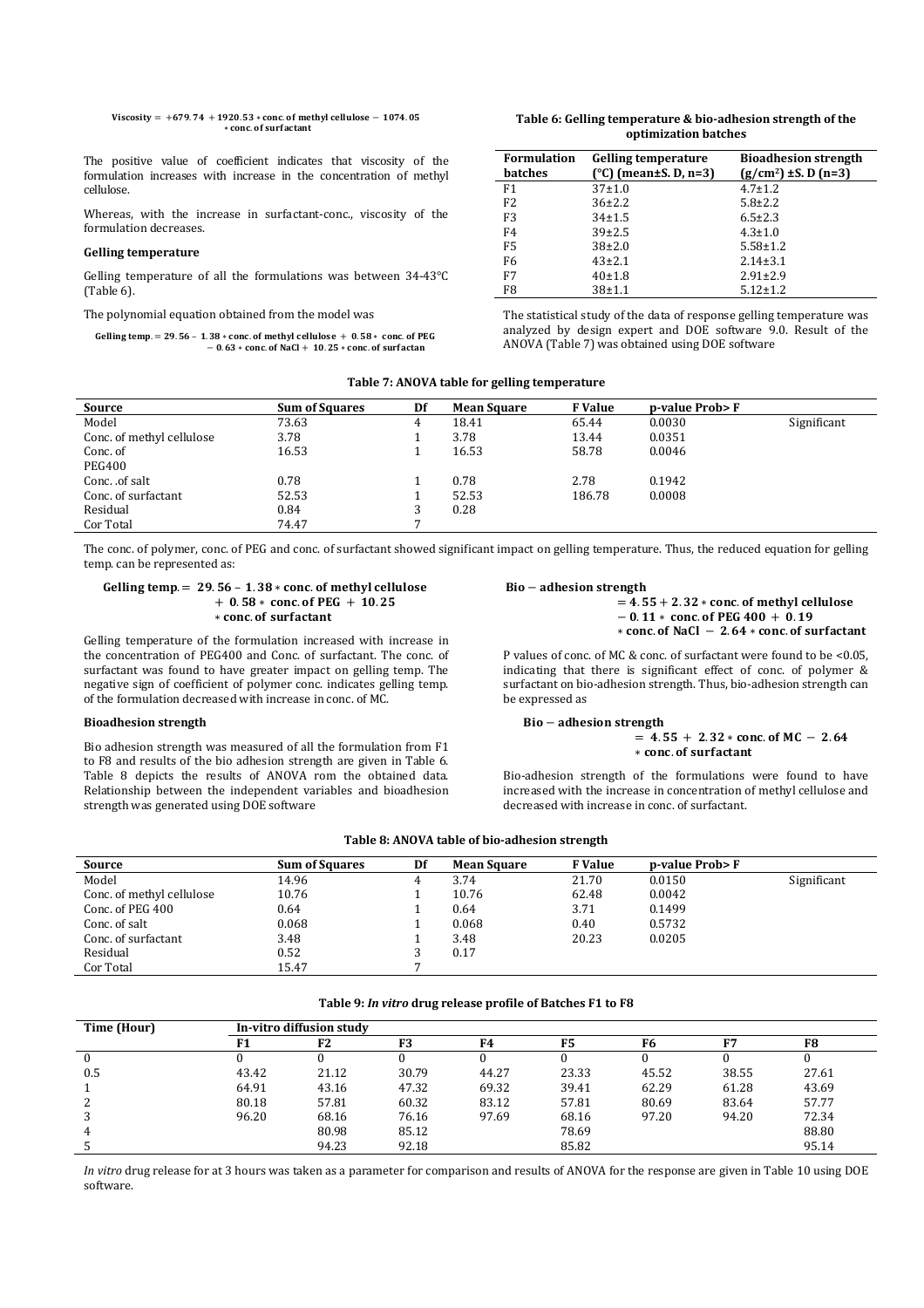$$
Viscosity = +679.74 + 1920.53 * conc. of methyl cellulose - 1074.05+ conc. of surfactant
$$

The positive value of coefficient indicates that viscosity of the formulation increases with increase in the concentration of methyl cellulose.

Whereas, with the increase in surfactant-conc., viscosity of the formulation decreases.

## **Gelling temperature**

Gelling temperature of all the formulations was between 34-43°C (Table 6).

The polynomial equation obtained from the model was

Gelling temp.  $= 29.56 - 1.38 * \text{conc. of methyl cellulose} + 0.58 * \text{conc. of PEG}$  $-0.63 * \text{conc. of NaCl} + 10.25 * \text{conc. of surface}$ 

## **Table 6: Gelling temperature & bio-adhesion strength of the optimization batches**

| <b>Formulation</b> | <b>Gelling temperature</b> | <b>Bioadhesion strength</b> |
|--------------------|----------------------------|-----------------------------|
| <b>batches</b>     | (°C) (mean±S. D, n=3)      | $(g/cm2)$ ± S. D (n=3)      |
| F <sub>1</sub>     | $37 \pm 1.0$               | $4.7 \pm 1.2$               |
| F <sub>2</sub>     | $36\pm2.2$                 | $5.8 \pm 2.2$               |
| F <sub>3</sub>     | $34 \pm 1.5$               | $6.5 \pm 2.3$               |
| F4                 | $39\pm2.5$                 | $4.3 \pm 1.0$               |
| F <sub>5</sub>     | $38+2.0$                   | $5.58 \pm 1.2$              |
| F <sub>6</sub>     | $43 \pm 2.1$               | $2.14 \pm 3.1$              |
| F7                 | 40±1.8                     | $2.91 \pm 2.9$              |
| F8                 | $38 + 1.1$                 | $5.12 \pm 1.2$              |

The statistical study of the data of response gelling temperature was analyzed by design expert and DOE software 9.0. Result of the ANOVA (Table 7) was obtained using DOE software

## **Table 7: ANOVA table for gelling temperature**

| Source                    | <b>Sum of Squares</b> | Df | <b>Mean Square</b> | <b>F</b> Value | p-value Prob> F |             |
|---------------------------|-----------------------|----|--------------------|----------------|-----------------|-------------|
| Model                     | 73.63                 | 4  | 18.41              | 65.44          | 0.0030          | Significant |
| Conc. of methyl cellulose | 3.78                  |    | 3.78               | 13.44          | 0.0351          |             |
| Conc. of                  | 16.53                 |    | 16.53              | 58.78          | 0.0046          |             |
| <b>PEG400</b>             |                       |    |                    |                |                 |             |
| Conc. .of salt            | 0.78                  |    | 0.78               | 2.78           | 0.1942          |             |
| Conc. of surfactant       | 52.53                 |    | 52.53              | 186.78         | 0.0008          |             |
| Residual                  | 0.84                  |    | 0.28               |                |                 |             |
| Cor Total                 | 74.47                 |    |                    |                |                 |             |

The conc. of polymer, conc. of PEG and conc. of surfactant showed significant impact on gelling temperature. Thus, the reduced equation for gelling temp. can be represented as:

## Gelling temp.  $= 29.56 - 1.38 * \text{conc. of methyl cellulose}$  $+ 0.58 * \text{ conc. of PEG} + 10.25$ \* conc. of surfactant

Gelling temperature of the formulation increased with increase in the concentration of PEG400 and Conc. of surfactant. The conc. of surfactant was found to have greater impact on gelling temp. The negative sign of coefficient of polymer conc. indicates gelling temp. of the formulation decreased with increase in conc. of MC.

### **Bioadhesion strength**

Bio adhesion strength was measured of all the formulation from F1 to F8 and results of the bio adhesion strength are given in Table 6. Table 8 depicts the results of ANOVA rom the obtained data. Relationship between the independent variables and bioadhesion strength was generated using DOE software

## Bio – adhesion strength

 $= 4.55 + 2.32 *$  conc. of methyl cellulose  $-0.11*$  conc. of PEG 400 + 0.19  $*$  conc. of NaCl  $-2.64 *$  conc. of surfactant

P values of conc. of MC & conc. of surfactant were found to be <0.05, indicating that there is significant effect of conc. of polymer & surfactant on bio-adhesion strength. Thus, bio-adhesion strength can be expressed as

## Bio – adhesion strength

 $= 4.55 + 2.32 * \text{conc. of MC} - 2.64$ \* conc. of surfactant

Bio-adhesion strength of the formulations were found to have increased with the increase in concentration of methyl cellulose and decreased with increase in conc. of surfactant.

## **Table 8: ANOVA table of bio-adhesion strength**

| Source                    | <b>Sum of Squares</b> | Df | <b>Mean Square</b> | <b>F</b> Value | p-value Prob> F |             |
|---------------------------|-----------------------|----|--------------------|----------------|-----------------|-------------|
| Model                     | 14.96                 | 4  | 3.74               | 21.70          | 0.0150          | Significant |
| Conc. of methyl cellulose | 10.76                 |    | 10.76              | 62.48          | 0.0042          |             |
| Conc. of PEG 400          | 0.64                  |    | 0.64               | 3.71           | 0.1499          |             |
| Conc. of salt             | 0.068                 |    | 0.068              | 0.40           | 0.5732          |             |
| Conc. of surfactant       | 3.48                  |    | 3.48               | 20.23          | 0.0205          |             |
| Residual                  | 0.52                  |    | 0.17               |                |                 |             |
| Cor Total                 | 15.47                 |    |                    |                |                 |             |

#### **Table 9:** *In vitro* **drug release profile of Batches F1 to F8**

| Time (Hour) | In-vitro diffusion study |       |                |       |       |       |       |       |
|-------------|--------------------------|-------|----------------|-------|-------|-------|-------|-------|
|             | F1                       | F2    | F <sub>3</sub> | F4    | F5    | F6    | F7    | F8    |
|             |                          |       |                |       |       |       |       |       |
| 0.5         | 43.42                    | 21.12 | 30.79          | 44.27 | 23.33 | 45.52 | 38.55 | 27.61 |
|             | 64.91                    | 43.16 | 47.32          | 69.32 | 39.41 | 62.29 | 61.28 | 43.69 |
|             | 80.18                    | 57.81 | 60.32          | 83.12 | 57.81 | 80.69 | 83.64 | 57.77 |
|             | 96.20                    | 68.16 | 76.16          | 97.69 | 68.16 | 97.20 | 94.20 | 72.34 |
| 4           |                          | 80.98 | 85.12          |       | 78.69 |       |       | 88.80 |
|             |                          | 94.23 | 92.18          |       | 85.82 |       |       | 95.14 |

*In vitro* drug release for at 3 hours was taken as a parameter for comparison and results of ANOVA for the response are given in Table 10 using DOE software.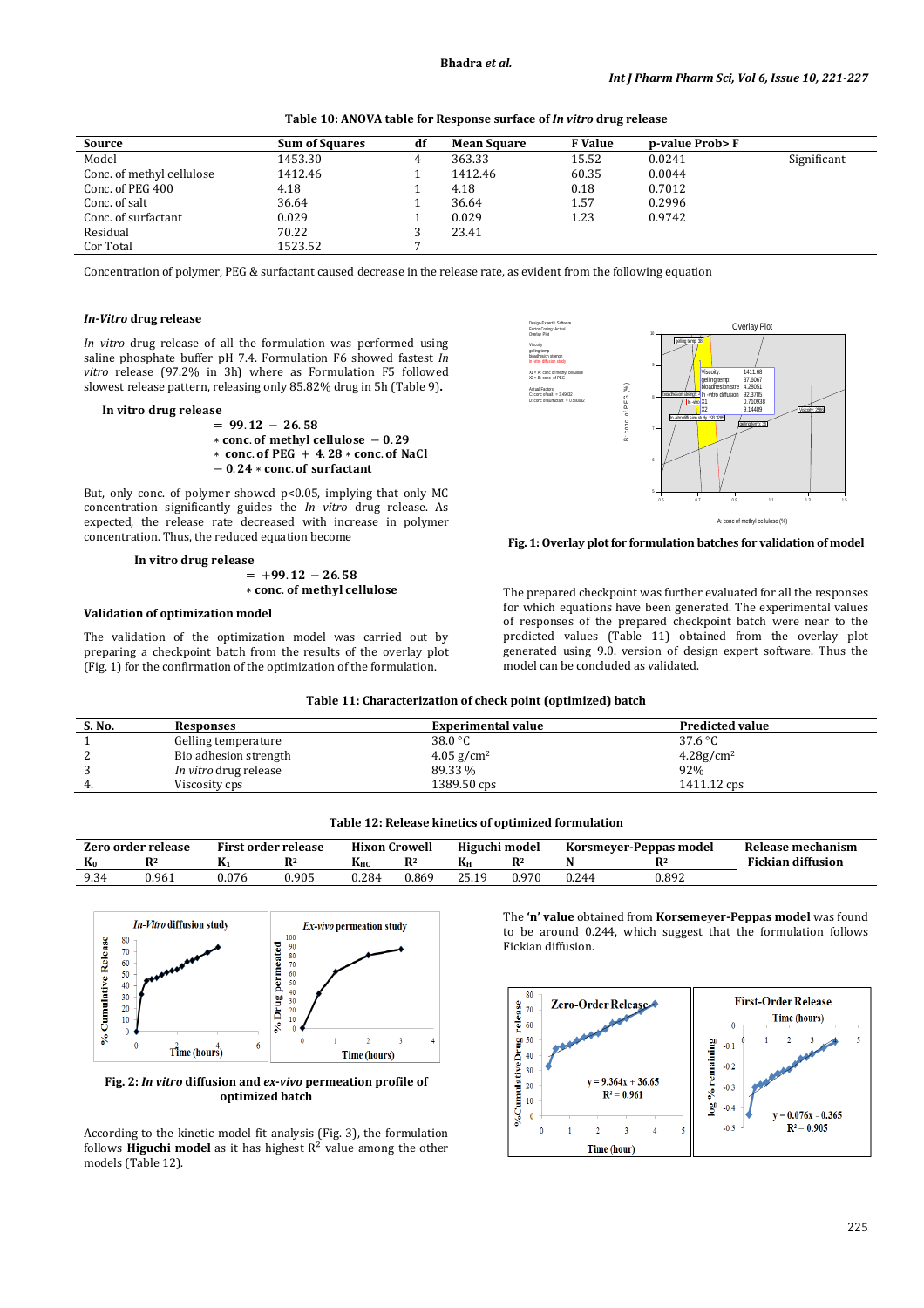| Table 10: ANOVA table for Response surface of In vitro drug release |  |
|---------------------------------------------------------------------|--|
|---------------------------------------------------------------------|--|

| Source                    | <b>Sum of Squares</b> | df | <b>Mean Square</b> | <b>F</b> Value | p-value Prob> F |             |
|---------------------------|-----------------------|----|--------------------|----------------|-----------------|-------------|
| Model                     | 1453.30               | 4  | 363.33             | 15.52          | 0.0241          | Significant |
| Conc. of methyl cellulose | 1412.46               |    | 1412.46            | 60.35          | 0.0044          |             |
| Conc. of PEG 400          | 4.18                  |    | 4.18               | 0.18           | 0.7012          |             |
| Conc. of salt             | 36.64                 |    | 36.64              | 1.57           | 0.2996          |             |
| Conc. of surfactant       | 0.029                 |    | 0.029              | 1.23           | 0.9742          |             |
| Residual                  | 70.22                 |    | 23.41              |                |                 |             |
| Cor Total                 | 1523.52               |    |                    |                |                 |             |

Concentration of polymer, PEG & surfactant caused decrease in the release rate, as evident from the following equation

## *In-Vitro* **drug release**

*In vitro* drug release of all the formulation was performed using saline phosphate buffer pH 7.4. Formulation F6 showed fastest *In vitro* release (97.2% in 3h) where as Formulation F5 followed slowest release pattern, releasing only 85.82% drug in 5h (Table 9)**.** 

## In vitro drug release

- $= 99.12 26.58$ \* conc. of methyl cellulose - 0.29  $*$  conc. of PEG + 4.28  $*$  conc. of NaCl
- $-0.24 * conc.$  of surfactant

But, only conc. of polymer showed p<0.05, implying that only MC concentration significantly guides the *In vitro* drug release. As expected, the release rate decreased with increase in polymer concentration. Thus, the reduced equation become

### In vitro drug release

 $= +99.12 - 26.58$ \* conc. of methyl cellulose

#### **Validation of optimization model**

The validation of the optimization model was carried out by preparing a checkpoint batch from the results of the overlay plot (Fig. 1) for the confirmation of the optimization of the formulation.



#### **Fig. 1: Overlay plot for formulation batches for validation of model**

The prepared checkpoint was further evaluated for all the responses for which equations have been generated. The experimental values of responses of the prepared checkpoint batch were near to the predicted values (Table 11) obtained from the overlay plot generated using 9.0. version of design expert software. Thus the model can be concluded as validated.

| Table 11: Characterization of check point (optimized) batch |  |  |  |
|-------------------------------------------------------------|--|--|--|
|-------------------------------------------------------------|--|--|--|

| S. No. | Responses                    | <b>Experimental value</b> | <b>Predicted value</b>   |
|--------|------------------------------|---------------------------|--------------------------|
|        | Gelling temperature          | 38.0 $\degree$ C          | 37.6 °C                  |
|        | Bio adhesion strength        | 4.05 g/cm <sup>2</sup>    | $4.28$ g/cm <sup>2</sup> |
|        | <i>In vitro</i> drug release | 89.33 %                   | 92%                      |
| -4.    | Viscosity cps                | 1389.50 cps               | 1411.12 cps              |

|                | Zero order release |       | <b>First order release</b> | <b>Hixon Crowell</b> |                | Higuchi model |       |       | Korsmever-Peppas model | Release mechanism        |
|----------------|--------------------|-------|----------------------------|----------------------|----------------|---------------|-------|-------|------------------------|--------------------------|
| $\mathbf{K}_0$ | D <sub>2</sub>     |       |                            | Kнс                  | $\mathbf{p}_2$ | Kн            | D2    |       | $\mathbf{R}^2$         | <b>Fickian diffusion</b> |
| 9.34           | 0.961              | 0.076 | 0.905                      | ).284                | 0.869          |               | 9.970 | 0.244 | 0.892                  |                          |
|                |                    |       |                            |                      |                |               |       |       |                        |                          |

**Table 12: Release kinetics of optimized formulation**



**Fig. 2:** *In vitro* **diffusion and** *ex***-***vivo* **permeation profile of optimized batch** 

According to the kinetic model fit analysis (Fig. 3), the formulation follows **Higuchi model** as it has highest R² value among the other models (Table 12).

The **'n' value** obtained from **Korsemeyer-Peppas model** was found to be around 0.244, which suggest that the formulation follows Fickian diffusion.

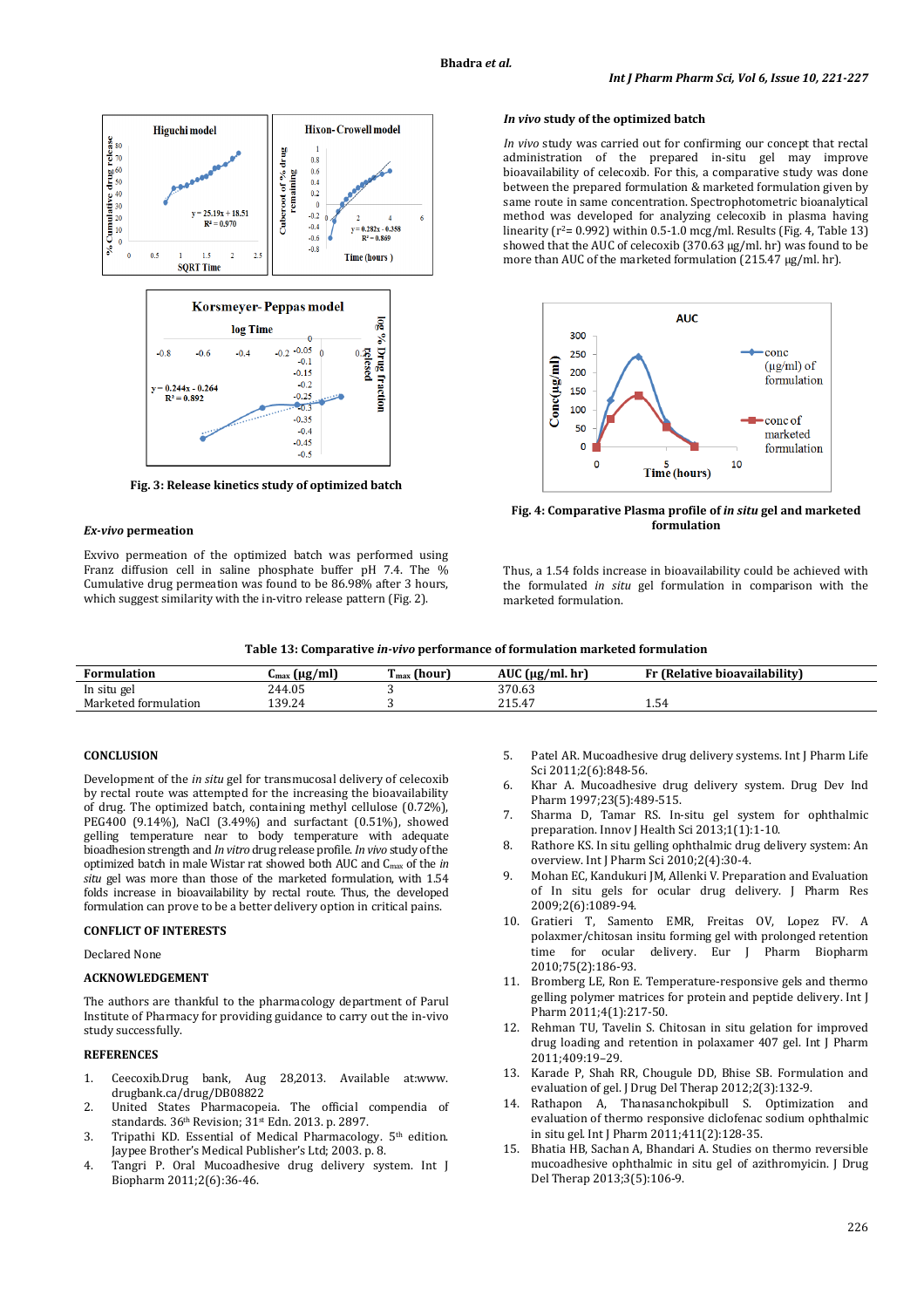



**Fig. 3: Release kinetics study of optimized batch** 

## *Ex-vivo* **permeation**

Exvivo permeation of the optimized batch was performed using Franz diffusion cell in saline phosphate buffer pH 7.4. The % Cumulative drug permeation was found to be 86.98% after 3 hours, which suggest similarity with the in-vitro release pattern (Fig. 2).

## *In vivo* **study of the optimized batch**

*In vivo* study was carried out for confirming our concept that rectal administration of the prepared in-situ gel may improve bioavailability of celecoxib. For this, a comparative study was done between the prepared formulation & marketed formulation given by same route in same concentration. Spectrophotometric bioanalytical method was developed for analyzing celecoxib in plasma having linearity ( $r^2$ = 0.992) within 0.5-1.0 mcg/ml. Results (Fig. 4, Table 13) showed that the AUC of celecoxib (370.63 µg/ml. hr) was found to be more than AUC of the marketed formulation (215.47 µg/ml. hr).



**Fig. 4: Comparative Plasma profile of** *in situ* **gel and marketed formulation** 

Thus, a 1.54 folds increase in bioavailability could be achieved with the formulated *in situ* gel formulation in comparison with the marketed formulation.

| <b>Formulation</b>   | $\mu$ g/ml<br>Umax<br>. . | m<br>$imax$ (hour | <b>AUC</b><br>$\mu$ (ug/ml.hr) | <b>: (Relative bioavailabilitv)</b> |
|----------------------|---------------------------|-------------------|--------------------------------|-------------------------------------|
| In situ gel          | 244.05                    |                   | 370.63                         |                                     |
| Marketed formulation | 139.24<br>139.44          |                   | 215<br>215.47                  | 1.54                                |

# **CONCLUSION**

Development of the *in situ* gel for transmucosal delivery of celecoxib by rectal route was attempted for the increasing the bioavailability of drug. The optimized batch, containing methyl cellulose (0.72%), PEG400 (9.14%), NaCl (3.49%) and surfactant (0.51%), showed gelling temperature near to body temperature with adequate bioadhesion strength and *In vitro* drug release profile. *In vivo* study of the optimized batch in male Wistar rat showed both AUC and Cmax of the *in situ* gel was more than those of the marketed formulation, with 1.54 folds increase in bioavailability by rectal route. Thus, the developed formulation can prove to be a better delivery option in critical pains.

## **CONFLICT OF INTERESTS**

Declared None

### **ACKNOWLEDGEMENT**

The authors are thankful to the pharmacology department of Parul Institute of Pharmacy for providing guidance to carry out the in-vivo study successfully.

## **REFERENCES**

- 1. Ceecoxib.Drug bank, Aug 28,2013. Available at:www. drugbank.ca/drug/DB08822
- 2. United States Pharmacopeia. The official compendia of standards.  $36<sup>th</sup>$  Revision;  $31<sup>st</sup>$  Edn. 2013. p. 2897.
- 3. Tripathi KD. Essential of Medical Pharmacology. 5<sup>th</sup> edition. Jaypee Brother's Medical Publisher's Ltd; 2003. p. 8.
- 4. Tangri P. Oral Mucoadhesive drug delivery system. Int J Biopharm 2011;2(6):36-46.
- 5. Patel AR. Mucoadhesive drug delivery systems. Int J Pharm Life Sci 2011;2(6):848-56.
- 6. Khar A. Mucoadhesive drug delivery system. Drug Dev Ind Pharm 1997;23(5):489-515.
- 7. Sharma D, Tamar RS. In-situ gel system for ophthalmic preparation. Innov J Health Sci 2013;1(1):1-10.
- 8. Rathore KS. In situ gelling ophthalmic drug delivery system: An overview. Int J Pharm Sci 2010;2(4):30-4.
- 9. Mohan EC, Kandukuri JM, Allenki V. Preparation and Evaluation of In situ gels for ocular drug delivery. J Pharm Res 2009;2(6):1089-94.
- 10. Gratieri T, Samento EMR, Freitas OV, Lopez FV. A polaxmer/chitosan insitu forming gel with prolonged retention time for ocular delivery. Eur J Pharm Biopharm 2010;75(2):186-93.
- 11. Bromberg LE, Ron E. Temperature-responsive gels and thermo gelling polymer matrices for protein and peptide delivery. Int J Pharm 2011;4(1):217-50.
- 12. Rehman TU, Tavelin S. Chitosan in situ gelation for improved drug loading and retention in polaxamer 407 gel. Int J Pharm 2011;409:19–29.
- 13. Karade P, Shah RR, Chougule DD, Bhise SB. Formulation and evaluation of gel. J Drug Del Therap 2012;2(3):132-9.
- 14. Rathapon A, Thanasanchokpibull S. Optimization and evaluation of thermo responsive diclofenac sodium ophthalmic in situ gel. Int J Pharm 2011;411(2):128-35.
- 15. Bhatia HB, Sachan A, Bhandari A. Studies on thermo reversible mucoadhesive ophthalmic in situ gel of azithromyicin. J Drug Del Therap 2013;3(5):106-9.